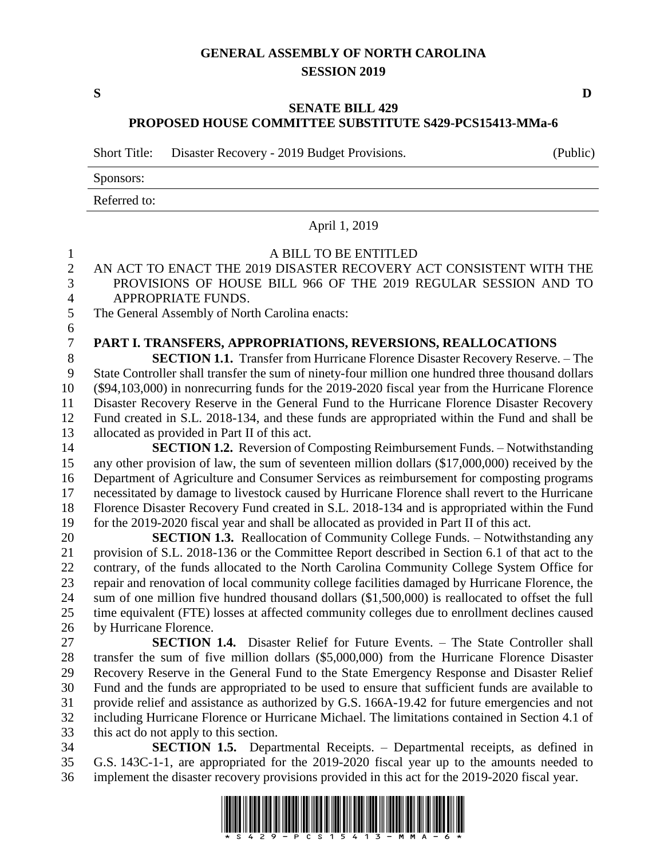## **GENERAL ASSEMBLY OF NORTH CAROLINA SESSION 2019**

**S D**

## **SENATE BILL 429 PROPOSED HOUSE COMMITTEE SUBSTITUTE S429-PCS15413-MMa-6**

Short Title: Disaster Recovery - 2019 Budget Provisions. (Public)

Sponsors:

Referred to:

## April 1, 2019 A BILL TO BE ENTITLED AN ACT TO ENACT THE 2019 DISASTER RECOVERY ACT CONSISTENT WITH THE PROVISIONS OF HOUSE BILL 966 OF THE 2019 REGULAR SESSION AND TO APPROPRIATE FUNDS. The General Assembly of North Carolina enacts: **PART I. TRANSFERS, APPROPRIATIONS, REVERSIONS, REALLOCATIONS SECTION 1.1.** Transfer from Hurricane Florence Disaster Recovery Reserve. – The State Controller shall transfer the sum of ninety-four million one hundred three thousand dollars (\$94,103,000) in nonrecurring funds for the 2019-2020 fiscal year from the Hurricane Florence Disaster Recovery Reserve in the General Fund to the Hurricane Florence Disaster Recovery Fund created in S.L. 2018-134, and these funds are appropriated within the Fund and shall be allocated as provided in Part II of this act. **SECTION 1.2.** Reversion of Composting Reimbursement Funds. – Notwithstanding any other provision of law, the sum of seventeen million dollars (\$17,000,000) received by the Department of Agriculture and Consumer Services as reimbursement for composting programs necessitated by damage to livestock caused by Hurricane Florence shall revert to the Hurricane Florence Disaster Recovery Fund created in S.L. 2018-134 and is appropriated within the Fund for the 2019-2020 fiscal year and shall be allocated as provided in Part II of this act. **SECTION 1.3.** Reallocation of Community College Funds. – Notwithstanding any provision of S.L. 2018-136 or the Committee Report described in Section 6.1 of that act to the 22 contrary, of the funds allocated to the North Carolina Community College System Office for repair and renovation of local community college facilities damaged by Hurricane Florence, the sum of one million five hundred thousand dollars (\$1,500,000) is reallocated to offset the full time equivalent (FTE) losses at affected community colleges due to enrollment declines caused by Hurricane Florence. **SECTION 1.4.** Disaster Relief for Future Events. – The State Controller shall transfer the sum of five million dollars (\$5,000,000) from the Hurricane Florence Disaster Recovery Reserve in the General Fund to the State Emergency Response and Disaster Relief Fund and the funds are appropriated to be used to ensure that sufficient funds are available to provide relief and assistance as authorized by G.S. 166A-19.42 for future emergencies and not including Hurricane Florence or Hurricane Michael. The limitations contained in Section 4.1 of this act do not apply to this section. **SECTION 1.5.** Departmental Receipts. – Departmental receipts, as defined in G.S. 143C-1-1, are appropriated for the 2019-2020 fiscal year up to the amounts needed to implement the disaster recovery provisions provided in this act for the 2019-2020 fiscal year.

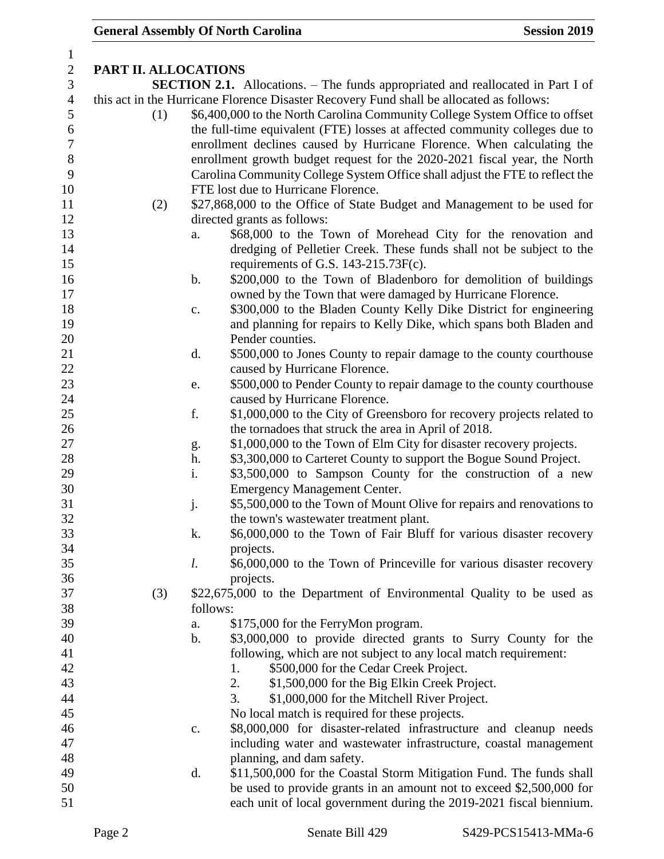| $\mathbf{1}$     |                      |                |                                                                                          |
|------------------|----------------------|----------------|------------------------------------------------------------------------------------------|
| $\sqrt{2}$       | PART II. ALLOCATIONS |                |                                                                                          |
| 3                |                      |                | <b>SECTION 2.1.</b> Allocations. – The funds appropriated and reallocated in Part I of   |
| $\overline{4}$   |                      |                | this act in the Hurricane Florence Disaster Recovery Fund shall be allocated as follows: |
| $\mathfrak{S}$   | (1)                  |                | \$6,400,000 to the North Carolina Community College System Office to offset              |
| $\sqrt{6}$       |                      |                | the full-time equivalent (FTE) losses at affected community colleges due to              |
| $\boldsymbol{7}$ |                      |                | enrollment declines caused by Hurricane Florence. When calculating the                   |
| $8\,$            |                      |                | enrollment growth budget request for the 2020-2021 fiscal year, the North                |
| 9                |                      |                | Carolina Community College System Office shall adjust the FTE to reflect the             |
| 10               |                      |                | FTE lost due to Hurricane Florence.                                                      |
| 11               | (2)                  |                | \$27,868,000 to the Office of State Budget and Management to be used for                 |
| 12               |                      |                | directed grants as follows:                                                              |
| 13               |                      | a.             | \$68,000 to the Town of Morehead City for the renovation and                             |
| 14               |                      |                | dredging of Pelletier Creek. These funds shall not be subject to the                     |
| 15               |                      |                | requirements of G.S. 143-215.73F(c).                                                     |
| 16               |                      | b.             | \$200,000 to the Town of Bladenboro for demolition of buildings                          |
| 17               |                      |                |                                                                                          |
|                  |                      |                | owned by the Town that were damaged by Hurricane Florence.                               |
| 18               |                      | $\mathbf{c}$ . | \$300,000 to the Bladen County Kelly Dike District for engineering                       |
| 19               |                      |                | and planning for repairs to Kelly Dike, which spans both Bladen and                      |
| 20               |                      |                | Pender counties.                                                                         |
| 21               |                      | d.             | \$500,000 to Jones County to repair damage to the county courthouse                      |
| 22               |                      |                | caused by Hurricane Florence.                                                            |
| 23               |                      | e.             | \$500,000 to Pender County to repair damage to the county courthouse                     |
| 24               |                      |                | caused by Hurricane Florence.                                                            |
| 25               |                      | f.             | \$1,000,000 to the City of Greensboro for recovery projects related to                   |
| 26               |                      |                | the tornadoes that struck the area in April of 2018.                                     |
| 27               |                      | g.             | \$1,000,000 to the Town of Elm City for disaster recovery projects.                      |
| 28               |                      | h.             | \$3,300,000 to Carteret County to support the Bogue Sound Project.                       |
| 29               |                      | i.             | \$3,500,000 to Sampson County for the construction of a new                              |
| 30               |                      |                | <b>Emergency Management Center.</b>                                                      |
| 31               |                      | j.             | \$5,500,000 to the Town of Mount Olive for repairs and renovations to                    |
| 32               |                      |                | the town's wastewater treatment plant.                                                   |
| 33               |                      | k.             | \$6,000,000 to the Town of Fair Bluff for various disaster recovery                      |
| 34               |                      |                | projects.                                                                                |
| 35               |                      | l.             | \$6,000,000 to the Town of Princeville for various disaster recovery                     |
| 36               |                      |                | projects.                                                                                |
| 37               | (3)                  |                | \$22,675,000 to the Department of Environmental Quality to be used as                    |
| 38               |                      | follows:       |                                                                                          |
| 39               |                      | a.             | \$175,000 for the FerryMon program.                                                      |
| 40               |                      | b.             | \$3,000,000 to provide directed grants to Surry County for the                           |
| 41               |                      |                | following, which are not subject to any local match requirement:                         |
| 42               |                      |                | \$500,000 for the Cedar Creek Project.<br>1.                                             |
| 43               |                      |                | 2.<br>\$1,500,000 for the Big Elkin Creek Project.                                       |
| 44               |                      |                | 3.<br>\$1,000,000 for the Mitchell River Project.                                        |
| 45               |                      |                | No local match is required for these projects.                                           |
| 46               |                      | c.             | \$8,000,000 for disaster-related infrastructure and cleanup needs                        |
| 47               |                      |                | including water and wastewater infrastructure, coastal management                        |
| 48               |                      |                | planning, and dam safety.                                                                |
| 49               |                      | d.             | \$11,500,000 for the Coastal Storm Mitigation Fund. The funds shall                      |
| 50               |                      |                | be used to provide grants in an amount not to exceed \$2,500,000 for                     |
| 51               |                      |                | each unit of local government during the 2019-2021 fiscal biennium.                      |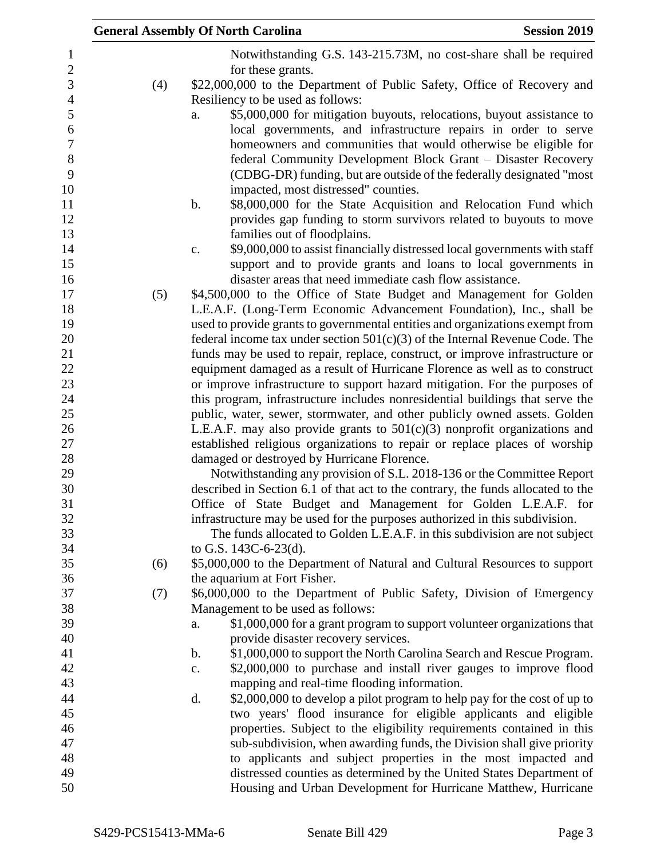|     | <b>General Assembly Of North Carolina</b><br><b>Session 2019</b>                                                                                          |
|-----|-----------------------------------------------------------------------------------------------------------------------------------------------------------|
|     | Notwithstanding G.S. 143-215.73M, no cost-share shall be required                                                                                         |
|     | for these grants.                                                                                                                                         |
| (4) | \$22,000,000 to the Department of Public Safety, Office of Recovery and                                                                                   |
|     | Resiliency to be used as follows:                                                                                                                         |
|     | \$5,000,000 for mitigation buyouts, relocations, buyout assistance to<br>a.                                                                               |
|     | local governments, and infrastructure repairs in order to serve                                                                                           |
|     | homeowners and communities that would otherwise be eligible for                                                                                           |
|     | federal Community Development Block Grant – Disaster Recovery                                                                                             |
|     | (CDBG-DR) funding, but are outside of the federally designated "most"                                                                                     |
|     | impacted, most distressed" counties.                                                                                                                      |
|     | $\mathbf b$ .<br>\$8,000,000 for the State Acquisition and Relocation Fund which                                                                          |
|     | provides gap funding to storm survivors related to buyouts to move                                                                                        |
|     | families out of floodplains.                                                                                                                              |
|     | \$9,000,000 to assist financially distressed local governments with staff<br>c.                                                                           |
|     | support and to provide grants and loans to local governments in                                                                                           |
|     | disaster areas that need immediate cash flow assistance.                                                                                                  |
| (5) | \$4,500,000 to the Office of State Budget and Management for Golden                                                                                       |
|     | L.E.A.F. (Long-Term Economic Advancement Foundation), Inc., shall be                                                                                      |
|     | used to provide grants to governmental entities and organizations exempt from                                                                             |
|     | federal income tax under section $501(c)(3)$ of the Internal Revenue Code. The                                                                            |
|     | funds may be used to repair, replace, construct, or improve infrastructure or                                                                             |
|     | equipment damaged as a result of Hurricane Florence as well as to construct                                                                               |
|     | or improve infrastructure to support hazard mitigation. For the purposes of                                                                               |
|     | this program, infrastructure includes nonresidential buildings that serve the                                                                             |
|     | public, water, sewer, stormwater, and other publicly owned assets. Golden                                                                                 |
|     | L.E.A.F. may also provide grants to $501(c)(3)$ nonprofit organizations and<br>established religious organizations to repair or replace places of worship |
|     | damaged or destroyed by Hurricane Florence.                                                                                                               |
|     | Notwithstanding any provision of S.L. 2018-136 or the Committee Report                                                                                    |
|     | described in Section 6.1 of that act to the contrary, the funds allocated to the                                                                          |
|     | Office of State Budget and Management for Golden L.E.A.F. for                                                                                             |
|     | infrastructure may be used for the purposes authorized in this subdivision.                                                                               |
|     | The funds allocated to Golden L.E.A.F. in this subdivision are not subject                                                                                |
|     | to G.S. 143C-6-23(d).                                                                                                                                     |
| (6) | \$5,000,000 to the Department of Natural and Cultural Resources to support                                                                                |
|     | the aquarium at Fort Fisher.                                                                                                                              |
| (7) | \$6,000,000 to the Department of Public Safety, Division of Emergency                                                                                     |
|     | Management to be used as follows:                                                                                                                         |
|     | \$1,000,000 for a grant program to support volunteer organizations that<br>a.                                                                             |
|     | provide disaster recovery services.                                                                                                                       |
|     | \$1,000,000 to support the North Carolina Search and Rescue Program.<br>b.                                                                                |
|     | \$2,000,000 to purchase and install river gauges to improve flood<br>c.                                                                                   |
|     | mapping and real-time flooding information.                                                                                                               |
|     | \$2,000,000 to develop a pilot program to help pay for the cost of up to<br>d.                                                                            |
|     | two years' flood insurance for eligible applicants and eligible                                                                                           |
|     | properties. Subject to the eligibility requirements contained in this                                                                                     |
|     | sub-subdivision, when awarding funds, the Division shall give priority                                                                                    |
|     | to applicants and subject properties in the most impacted and                                                                                             |
|     | distressed counties as determined by the United States Department of                                                                                      |
|     | Housing and Urban Development for Hurricane Matthew, Hurricane                                                                                            |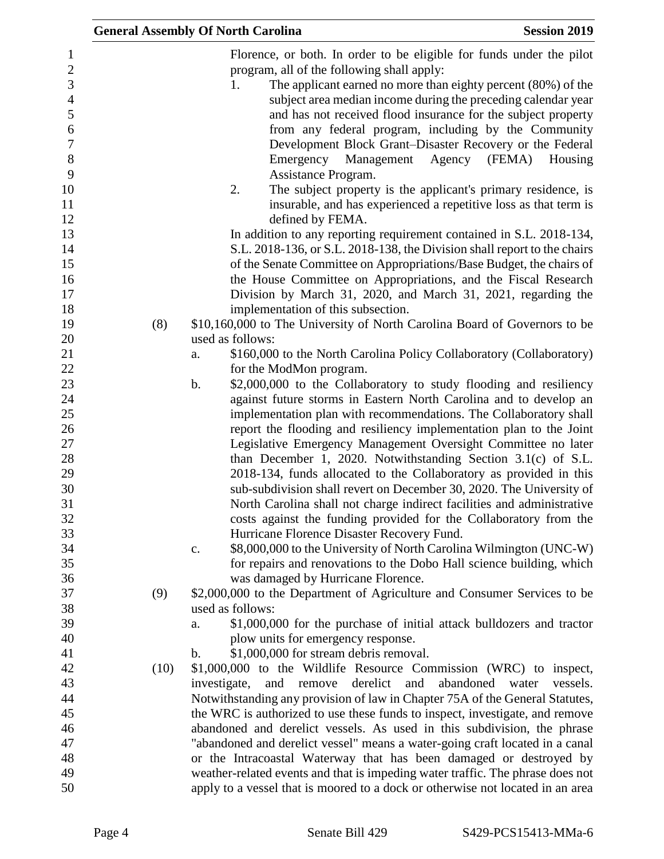|                                       | <b>General Assembly Of North Carolina</b><br><b>Session 2019</b>                                                                                                                                                                                           |          |
|---------------------------------------|------------------------------------------------------------------------------------------------------------------------------------------------------------------------------------------------------------------------------------------------------------|----------|
| $\overline{2}$<br>3<br>$\overline{a}$ | Florence, or both. In order to be eligible for funds under the pilot<br>program, all of the following shall apply:<br>The applicant earned no more than eighty percent (80%) of the<br>1.<br>subject area median income during the preceding calendar year |          |
| $\boldsymbol{6}$                      | and has not received flood insurance for the subject property<br>from any federal program, including by the Community<br>Development Block Grant-Disaster Recovery or the Federal                                                                          |          |
|                                       | Emergency Management<br>Agency<br>(FEMA)<br>Assistance Program.                                                                                                                                                                                            | Housing  |
| 10<br>12                              | 2.<br>The subject property is the applicant's primary residence, is<br>insurable, and has experienced a repetitive loss as that term is<br>defined by FEMA.                                                                                                |          |
| 13<br>14                              | In addition to any reporting requirement contained in S.L. 2018-134,<br>S.L. 2018-136, or S.L. 2018-138, the Division shall report to the chairs                                                                                                           |          |
| 15<br>16                              | of the Senate Committee on Appropriations/Base Budget, the chairs of<br>the House Committee on Appropriations, and the Fiscal Research                                                                                                                     |          |
|                                       | Division by March 31, 2020, and March 31, 2021, regarding the                                                                                                                                                                                              |          |
| 18                                    | implementation of this subsection.                                                                                                                                                                                                                         |          |
| 19<br>(8)                             | \$10,160,000 to The University of North Carolina Board of Governors to be                                                                                                                                                                                  |          |
| 20                                    | used as follows:                                                                                                                                                                                                                                           |          |
|                                       | \$160,000 to the North Carolina Policy Collaboratory (Collaboratory)<br>a.                                                                                                                                                                                 |          |
| 22                                    | for the ModMon program.                                                                                                                                                                                                                                    |          |
| 23<br>24                              | \$2,000,000 to the Collaboratory to study flooding and resiliency<br>$\mathbf b$ .<br>against future storms in Eastern North Carolina and to develop an                                                                                                    |          |
| 25                                    | implementation plan with recommendations. The Collaboratory shall                                                                                                                                                                                          |          |
| 26                                    | report the flooding and resiliency implementation plan to the Joint                                                                                                                                                                                        |          |
| 27                                    | Legislative Emergency Management Oversight Committee no later                                                                                                                                                                                              |          |
| 28                                    | than December 1, 2020. Notwithstanding Section 3.1(c) of S.L.                                                                                                                                                                                              |          |
| 29                                    | 2018-134, funds allocated to the Collaboratory as provided in this                                                                                                                                                                                         |          |
| 30                                    | sub-subdivision shall revert on December 30, 2020. The University of                                                                                                                                                                                       |          |
| 32                                    | North Carolina shall not charge indirect facilities and administrative<br>costs against the funding provided for the Collaboratory from the                                                                                                                |          |
| 33                                    | Hurricane Florence Disaster Recovery Fund.                                                                                                                                                                                                                 |          |
| 34                                    | \$8,000,000 to the University of North Carolina Wilmington (UNC-W)<br>$\mathbf{c}$ .                                                                                                                                                                       |          |
| 35                                    | for repairs and renovations to the Dobo Hall science building, which                                                                                                                                                                                       |          |
| 36                                    | was damaged by Hurricane Florence.                                                                                                                                                                                                                         |          |
| 37<br>(9)                             | \$2,000,000 to the Department of Agriculture and Consumer Services to be                                                                                                                                                                                   |          |
| 38                                    | used as follows:                                                                                                                                                                                                                                           |          |
| 39<br>40                              | \$1,000,000 for the purchase of initial attack bulldozers and tractor<br>a.                                                                                                                                                                                |          |
|                                       | plow units for emergency response.<br>\$1,000,000 for stream debris removal.<br>b.                                                                                                                                                                         |          |
| 42<br>(10)                            | \$1,000,000 to the Wildlife Resource Commission (WRC) to inspect,                                                                                                                                                                                          |          |
| 43                                    | derelict<br>and<br>abandoned<br>investigate,<br>and remove<br>water                                                                                                                                                                                        | vessels. |
| 44                                    | Notwithstanding any provision of law in Chapter 75A of the General Statutes,                                                                                                                                                                               |          |
| 45                                    | the WRC is authorized to use these funds to inspect, investigate, and remove                                                                                                                                                                               |          |
| 46                                    | abandoned and derelict vessels. As used in this subdivision, the phrase                                                                                                                                                                                    |          |
|                                       | "abandoned and derelict vessel" means a water-going craft located in a canal                                                                                                                                                                               |          |
| 48                                    | or the Intracoastal Waterway that has been damaged or destroyed by                                                                                                                                                                                         |          |
| 49<br>50                              | weather-related events and that is impeding water traffic. The phrase does not<br>apply to a vessel that is moored to a dock or otherwise not located in an area                                                                                           |          |
|                                       |                                                                                                                                                                                                                                                            |          |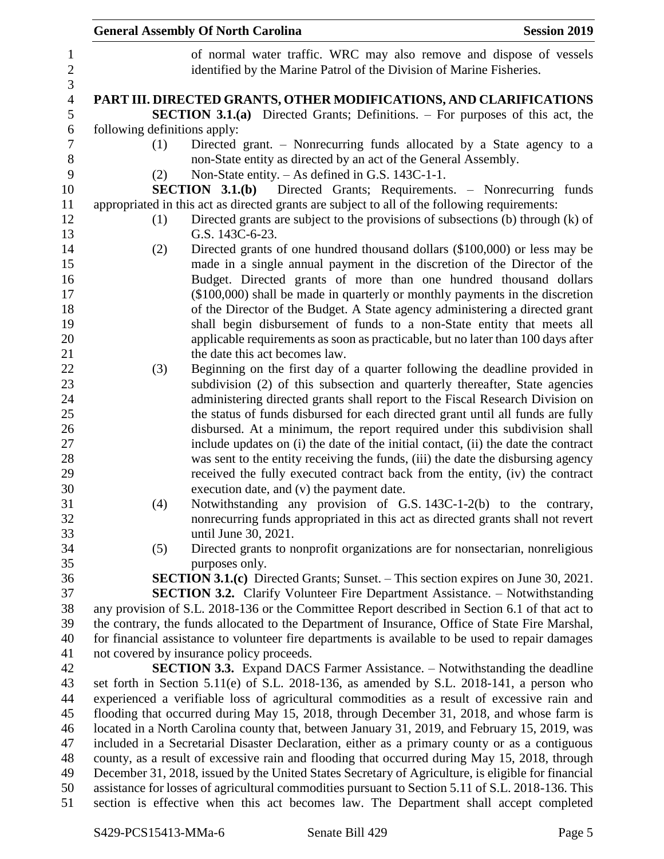|                              | <b>General Assembly Of North Carolina</b><br><b>Session 2019</b>                                                                                                                           |
|------------------------------|--------------------------------------------------------------------------------------------------------------------------------------------------------------------------------------------|
|                              | of normal water traffic. WRC may also remove and dispose of vessels<br>identified by the Marine Patrol of the Division of Marine Fisheries.                                                |
|                              | PART III. DIRECTED GRANTS, OTHER MODIFICATIONS, AND CLARIFICATIONS                                                                                                                         |
|                              | <b>SECTION 3.1.(a)</b> Directed Grants; Definitions. – For purposes of this act, the                                                                                                       |
| following definitions apply: |                                                                                                                                                                                            |
| (1)                          | Directed grant. – Nonrecurring funds allocated by a State agency to a<br>non-State entity as directed by an act of the General Assembly.                                                   |
| (2)                          | Non-State entity. – As defined in G.S. 143C-1-1.                                                                                                                                           |
|                              | SECTION 3.1.(b) Directed Grants; Requirements. - Nonrecurring funds                                                                                                                        |
|                              | appropriated in this act as directed grants are subject to all of the following requirements:                                                                                              |
| (1)                          | Directed grants are subject to the provisions of subsections (b) through (k) of<br>G.S. 143C-6-23.                                                                                         |
| (2)                          | Directed grants of one hundred thousand dollars (\$100,000) or less may be                                                                                                                 |
|                              | made in a single annual payment in the discretion of the Director of the                                                                                                                   |
|                              | Budget. Directed grants of more than one hundred thousand dollars                                                                                                                          |
|                              | (\$100,000) shall be made in quarterly or monthly payments in the discretion                                                                                                               |
|                              | of the Director of the Budget. A State agency administering a directed grant                                                                                                               |
|                              | shall begin disbursement of funds to a non-State entity that meets all                                                                                                                     |
|                              | applicable requirements as soon as practicable, but no later than 100 days after                                                                                                           |
|                              | the date this act becomes law.                                                                                                                                                             |
| (3)                          | Beginning on the first day of a quarter following the deadline provided in<br>subdivision (2) of this subsection and quarterly thereafter, State agencies                                  |
|                              | administering directed grants shall report to the Fiscal Research Division on                                                                                                              |
|                              | the status of funds disbursed for each directed grant until all funds are fully                                                                                                            |
|                              | disbursed. At a minimum, the report required under this subdivision shall                                                                                                                  |
|                              | include updates on (i) the date of the initial contact, (ii) the date the contract                                                                                                         |
|                              | was sent to the entity receiving the funds, (iii) the date the disbursing agency                                                                                                           |
|                              | received the fully executed contract back from the entity, (iv) the contract                                                                                                               |
|                              | execution date, and (v) the payment date.                                                                                                                                                  |
| (4)                          | Notwithstanding any provision of G.S. 143C-1-2(b) to the contrary,                                                                                                                         |
|                              | nonrecurring funds appropriated in this act as directed grants shall not revert                                                                                                            |
|                              | until June 30, 2021.                                                                                                                                                                       |
| (5)                          | Directed grants to nonprofit organizations are for nonsectarian, nonreligious                                                                                                              |
|                              | purposes only.                                                                                                                                                                             |
|                              | <b>SECTION 3.1.(c)</b> Directed Grants; Sunset. – This section expires on June 30, 2021.                                                                                                   |
|                              | SECTION 3.2. Clarify Volunteer Fire Department Assistance. - Notwithstanding                                                                                                               |
|                              | any provision of S.L. 2018-136 or the Committee Report described in Section 6.1 of that act to                                                                                             |
|                              | the contrary, the funds allocated to the Department of Insurance, Office of State Fire Marshal,                                                                                            |
|                              | for financial assistance to volunteer fire departments is available to be used to repair damages                                                                                           |
|                              | not covered by insurance policy proceeds.                                                                                                                                                  |
|                              | <b>SECTION 3.3.</b> Expand DACS Farmer Assistance. – Notwithstanding the deadline                                                                                                          |
|                              | set forth in Section 5.11(e) of S.L. 2018-136, as amended by S.L. 2018-141, a person who                                                                                                   |
|                              | experienced a verifiable loss of agricultural commodities as a result of excessive rain and                                                                                                |
|                              | flooding that occurred during May 15, 2018, through December 31, 2018, and whose farm is                                                                                                   |
|                              | located in a North Carolina county that, between January 31, 2019, and February 15, 2019, was                                                                                              |
|                              | included in a Secretarial Disaster Declaration, either as a primary county or as a contiguous                                                                                              |
|                              | county, as a result of excessive rain and flooding that occurred during May 15, 2018, through                                                                                              |
|                              | December 31, 2018, issued by the United States Secretary of Agriculture, is eligible for financial                                                                                         |
|                              | assistance for losses of agricultural commodities pursuant to Section 5.11 of S.L. 2018-136. This<br>section is effective when this act becomes law. The Department shall accept completed |